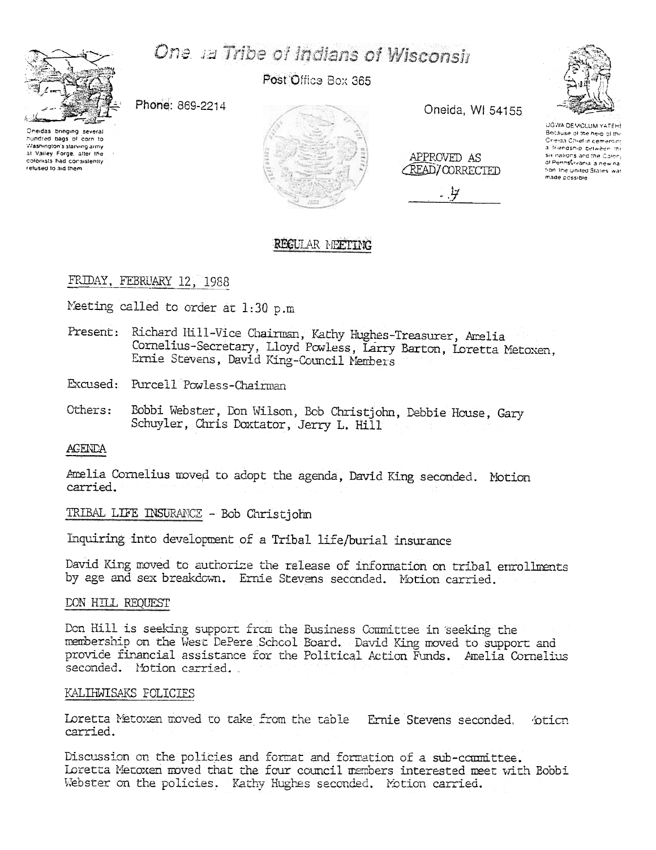# One ia Tribe of Indians of Wisconsir



Post Office Box 365

Phone: 869-2214

Oneidas bringing several hundred bags of corn to Washington's starving army at Valley Force, after the colonists had consistently refused to aid them



Oneida, WI 54155

APPROVED AS **CREAD/CORRECTED** 



UGWA DEMOLUM YATEHE Because of the help of the Oneida Chief in cementing a friendship between the Six nations and the Colony of Perinsvivania la new na tion, the United States, was made cossible

# REGULAR MEETING

# FRIDAY, FEBRUARY 12, 1988

Meeting called to order at 1:30 p.m

Present: Richard Hill-Vice Chairman, Kathy Hughes-Treasurer, Amelia Cornelius-Secretary, Lloyd Powless, Larry Barton, Loretta Metoxen. Ernie Stevens, David King-Council Members

Excused: Purcell Powless-Chairman

Others: Bobbi Webster, Don Wilson, Bob Christjohn, Debbie House, Gary Schuyler, Chris Doxtator, Jerry L. Hill

# **AGENDA**

Amelia Cornelius moved to adopt the agenda, David King seconded. Motion carried.

TRIBAL LIFE INSURANCE - Bob Christjohn

Inquiring into development of a Tribal life/burial insurance

David King moved to authorize the release of information on tribal enrollments by age and sex breakdown. Ernie Stevens seconded. Motion carried.

# **DON HILL REQUEST**

Don Hill is seeking support from the Business Committee in seeking the membership on the West DePere School Board. David King moved to support and provide financial assistance for the Political Action Funds. Amelia Cornelius seconded. Motion carried.

# KALIHWISAKS FOLICIES

Loretta Metoxen moved to take from the table Ernie Stevens seconded. bticn carried.

Discussion on the policies and format and formation of a sub-committee. Loretta Metoxen moved that the four council members interested meet with Bobbi Webster on the policies. Kathy Hughes seconded. Motion carried.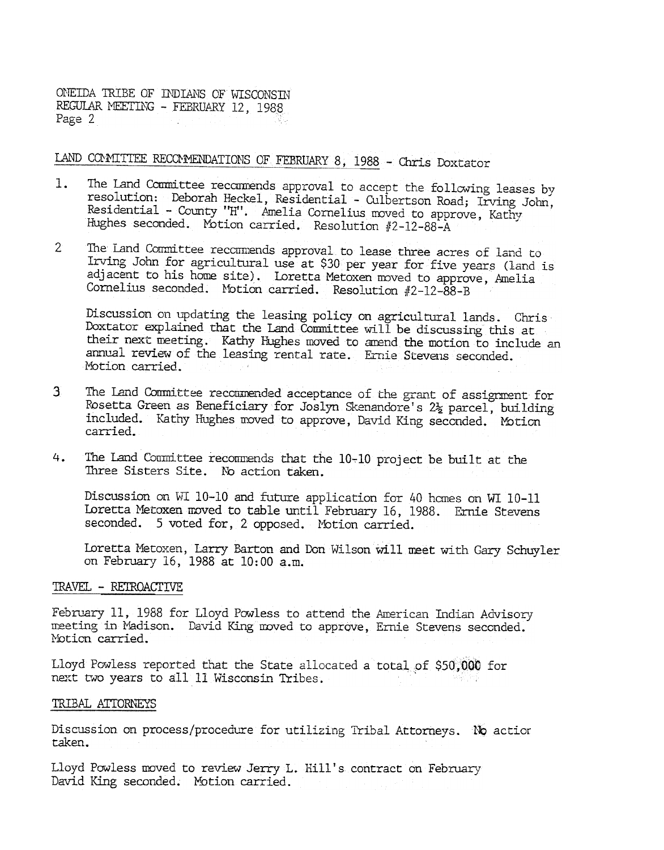ONEIDA TRIBE OF INDIANS OF WISCONSIN REGULAR MEETING - FEBRUARY 12, 1988 Page 2

LAND COMMITTEE RECOMMENDATIONS OF FEBRUARY 8, 1988 - Chris Doxtator

- The Land Committee recommends approval to accept the following leases by  $\mathbf{1}$ . resolution: Deborah Heckel, Residential - Culbertson Road; Irving John, Residential - County "H". Amelia Cornelius moved to approve, Kathy Hughes seconded. Motion carried. Resolution #2-12-88-A
- $2^{\circ}$ The Land Committee recommends approval to lease three acres of land to Irving John for agricultural use at \$30 per year for five years (land is adjacent to his home site). Loretta Metoxen moved to approve, Amelia Cornelius seconded. Motion carried. Resolution #2-12-88-B

Discussion on updating the leasing policy on agricultural lands. Chris Doxtator explained that the Land Committee will be discussing this at their next meeting. Kathy Hughes moved to amend the motion to include an annual review of the leasing rental rate. Ernie Stevens seconded. Motion carried.

- The Land Committee recommended acceptance of the grant of assignment for  $\overline{3}$ Rosetta Green as Beneficiary for Joslyn Skenandore's 2½ parcel, building included. Kathy Hughes moved to approve, David King seconded. Motion carried.
- The Land Counittee recommends that the 10-10 project be built at the 4. Three Sisters Site. No action taken.

Discussion on WI 10-10 and future application for 40 homes on WI 10-11 Loretta Metoxen moved to table until February 16, 1988. Ernie Stevens seconded. 5 voted for, 2 opposed. Motion carried.

Loretta Metoxen, Larry Barton and Don Wilson will meet with Gary Schuyler on February 16, 1988 at 10:00 a.m.

#### TRAVEL - RETROACTIVE

February 11, 1988 for Lloyd Powless to attend the American Indian Advisory meeting in Madison. David King moved to approve, Ernie Stevens seconded. Motion carried.

Lloyd Powless reported that the State allocated a total of \$50,000 for next two years to all 11 Wisconsin Tribes.

### TRIBAL ATTORNEYS

Discussion on process/procedure for utilizing Tribal Attorneys. No action taken.

Lloyd Powless moved to review Jerry L. Hill's contract on February David King seconded. Motion carried.